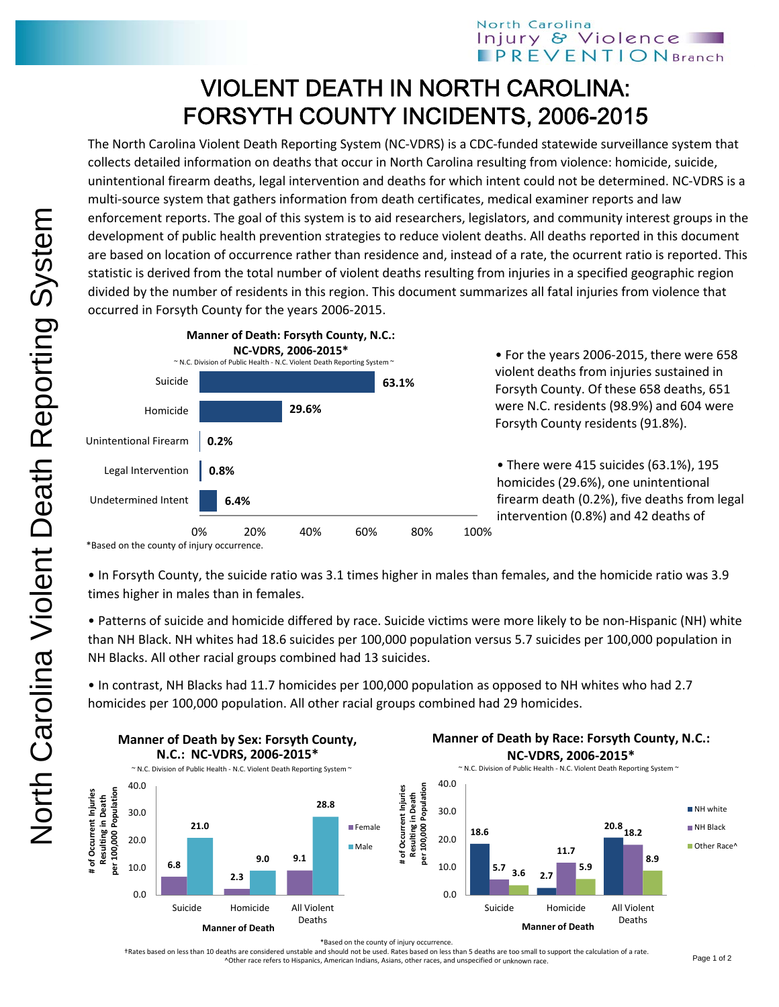## VIOLENT DEATH IN NORTH CAROLINA: FORSYTH COUNTY INCIDENTS, 2006-2015

The North Carolina Violent Death Reporting System (NC‐VDRS) is a CDC‐funded statewide surveillance system that collects detailed information on deaths that occur in North Carolina resulting from violence: homicide, suicide, unintentional firearm deaths, legal intervention and deaths for which intent could not be determined. NC‐VDRS is a multi-source system that gathers information from death certificates, medical examiner reports and law enforcement reports. The goal of this system is to aid researchers, legislators, and community interest groups in the development of public health prevention strategies to reduce violent deaths. All deaths reported in this document are based on location of occurrence rather than residence and, instead of a rate, the ocurrent ratio is reported. This statistic is derived from the total number of violent deaths resulting from injuries in a specified geographic region divided by the number of residents in this region. This document summarizes all fatal injuries from violence that occurred in Forsyth County for the years 2006‐2015.



\*Based on the county of injury occurrence.

• In Forsyth County, the suicide ratio was 3.1 times higher in males than females, and the homicide ratio was 3.9 times higher in males than in females.

• Patterns of suicide and homicide differed by race. Suicide victims were more likely to be non‐Hispanic (NH) white than NH Black. NH whites had 18.6 suicides per 100,000 population versus 5.7 suicides per 100,000 population in NH Blacks. All other racial groups combined had 13 suicides.

• In contrast, NH Blacks had 11.7 homicides per 100,000 population as opposed to NH whites who had 2.7 homicides per 100,000 population. All other racial groups combined had 29 homicides.



\*Based on the county of injury occurrence.

†Rates based on less than 10 deaths are considered unstable and should not be used. Rates based on less than 5 deaths are too small to support the calculation of a rate. ^Other race refers to Hispanics, American Indians, Asians, other races, and unspecified or unknown race.